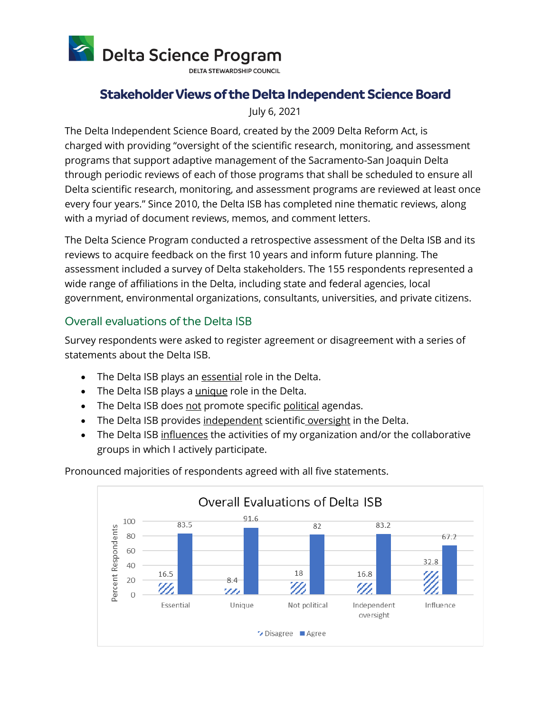

**DELTA STEWARDSHIP COUNCIL** 

## **Stakeholder Views of the Delta Independent Science Board**

July 6, 2021

The Delta Independent Science Board, created by the 2009 Delta Reform Act, is charged with providing "oversight of the scientific research, monitoring, and assessment programs that support adaptive management of the Sacramento-San Joaquin Delta through periodic reviews of each of those programs that shall be scheduled to ensure all Delta scientific research, monitoring, and assessment programs are reviewed at least once every four years." Since 2010, the Delta ISB has completed nine thematic reviews, along with a myriad of document reviews, memos, and comment letters.

The Delta Science Program conducted a retrospective assessment of the Delta ISB and its reviews to acquire feedback on the first 10 years and inform future planning. The assessment included a survey of Delta stakeholders. The 155 respondents represented a wide range of affiliations in the Delta, including state and federal agencies, local government, environmental organizations, consultants, universities, and private citizens.

## Overall evaluations of the Delta ISB

Survey respondents were asked to register agreement or disagreement with a series of statements about the Delta ISB.

- The Delta ISB plays an essential role in the Delta.
- The Delta ISB plays a *unique* role in the Delta.
- The Delta ISB does not promote specific political agendas.
- The Delta ISB provides independent scientific oversight in the Delta.
- The Delta ISB influences the activities of my organization and/or the collaborative groups in which I actively participate.



Pronounced majorities of respondents agreed with all five statements.